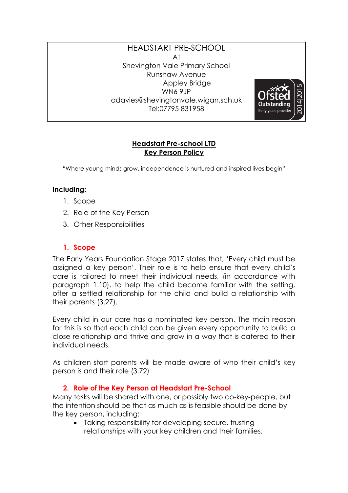#### HEADSTART PRE-SCHOOL At Shevington Vale Primary School Runshaw Avenue Appley Bridge WN6 9JP adavies@shevingtonvale.wigan.sch.uk Tel:07795 831958



#### **Headstart Pre-school LTD Key Person Policy**

"Where young minds grow, independence is nurtured and inspired lives begin"

## **Including:**

- 1. Scope
- 2. Role of the Key Person
- 3. Other Responsibilities

## **1. Scope**

The Early Years Foundation Stage 2017 states that, 'Every child must be assigned a key person'. Their role is to help ensure that every child's care is tailored to meet their individual needs, (in accordance with paragraph 1.10), to help the child become familiar with the setting, offer a settled relationship for the child and build a relationship with their parents (3.27).

Every child in our care has a nominated key person. The main reason for this is so that each child can be given every opportunity to build a close relationship and thrive and grow in a way that is catered to their individual needs.

As children start parents will be made aware of who their child's key person is and their role (3.72)

## **2. Role of the Key Person at Headstart Pre-School**

Many tasks will be shared with one, or possibly two co-key-people, but the intention should be that as much as is feasible should be done by the key person, including:

• Taking responsibility for developing secure, trusting relationships with your key children and their families.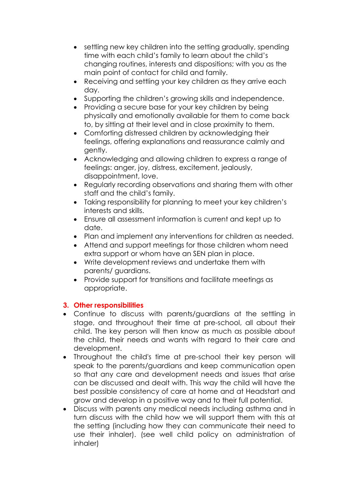- settling new key children into the setting gradually, spending time with each child's family to learn about the child's changing routines, interests and dispositions; with you as the main point of contact for child and family.
- Receiving and settling your key children as they arrive each day.
- Supporting the children's growing skills and independence.
- Providing a secure base for your key children by being physically and emotionally available for them to come back to, by sitting at their level and in close proximity to them.
- Comforting distressed children by acknowledging their feelings, offering explanations and reassurance calmly and gently.
- Acknowledging and allowing children to express a range of feelings: anger, joy, distress, excitement, jealously, disappointment, love.
- Regularly recording observations and sharing them with other staff and the child's family.
- Taking responsibility for planning to meet your key children's interests and skills.
- Ensure all assessment information is current and kept up to date.
- Plan and implement any interventions for children as needed.
- Attend and support meetings for those children whom need extra support or whom have an SEN plan in place.
- Write development reviews and undertake them with parents/ guardians.
- Provide support for transitions and facilitate meetings as appropriate.

# **3. Other responsibilities**

- Continue to discuss with parents/guardians at the settling in stage, and throughout their time at pre-school, all about their child. The key person will then know as much as possible about the child, their needs and wants with regard to their care and development.
- Throughout the child's time at pre-school their key person will speak to the parents/guardians and keep communication open so that any care and development needs and issues that arise can be discussed and dealt with. This way the child will have the best possible consistency of care at home and at Headstart and grow and develop in a positive way and to their full potential.
- Discuss with parents any medical needs including asthma and in turn discuss with the child how we will support them with this at the setting (including how they can communicate their need to use their inhaler). (see well child policy on administration of inhaler)